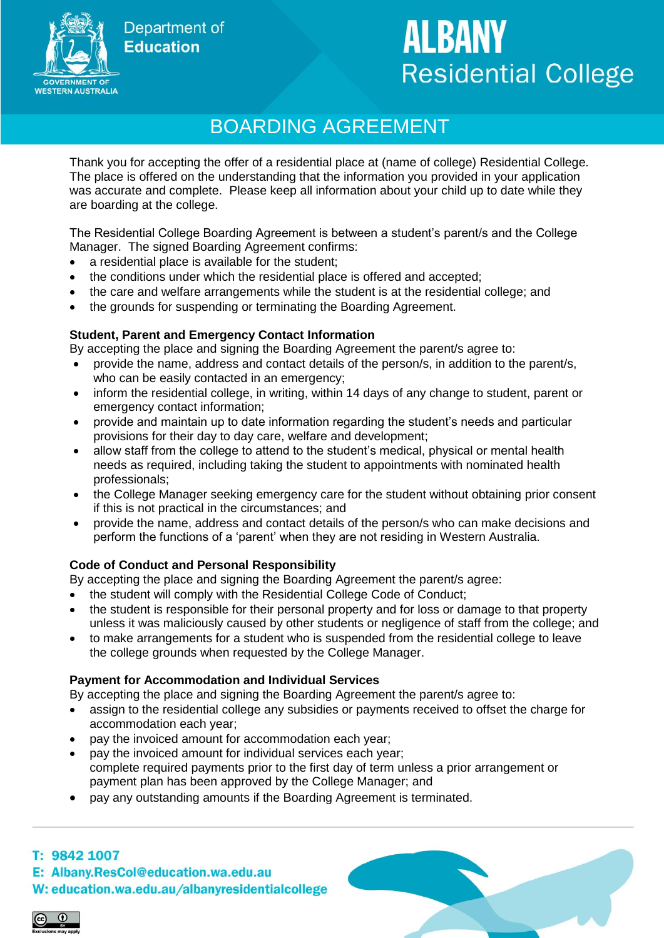**Department of Education** 



# **ALBANY Residential College**

# BOARDING AGREEMENT

Thank you for accepting the offer of a residential place at (name of college) Residential College. The place is offered on the understanding that the information you provided in your application was accurate and complete. Please keep all information about your child up to date while they are boarding at the college.

The Residential College Boarding Agreement is between a student's parent/s and the College Manager. The signed Boarding Agreement confirms:

- a residential place is available for the student;
- the conditions under which the residential place is offered and accepted;
- the care and welfare arrangements while the student is at the residential college; and
- the grounds for suspending or terminating the Boarding Agreement.

#### **Student, Parent and Emergency Contact Information**

By accepting the place and signing the Boarding Agreement the parent/s agree to:

- provide the name, address and contact details of the person/s, in addition to the parent/s, who can be easily contacted in an emergency;
- inform the residential college, in writing, within 14 days of any change to student, parent or emergency contact information;
- provide and maintain up to date information regarding the student's needs and particular provisions for their day to day care, welfare and development;
- allow staff from the college to attend to the student's medical, physical or mental health needs as required, including taking the student to appointments with nominated health professionals;
- the College Manager seeking emergency care for the student without obtaining prior consent if this is not practical in the circumstances; and
- provide the name, address and contact details of the person/s who can make decisions and perform the functions of a 'parent' when they are not residing in Western Australia.

## **Code of Conduct and Personal Responsibility**

By accepting the place and signing the Boarding Agreement the parent/s agree:

- the student will comply with the Residential College Code of Conduct;
- the student is responsible for their personal property and for loss or damage to that property unless it was maliciously caused by other students or negligence of staff from the college; and
- to make arrangements for a student who is suspended from the residential college to leave the college grounds when requested by the College Manager.

#### **Payment for Accommodation and Individual Services**

By accepting the place and signing the Boarding Agreement the parent/s agree to:

- assign to the residential college any subsidies or payments received to offset the charge for accommodation each year;
- pay the invoiced amount for accommodation each year;
- pay the invoiced amount for individual services each year; complete required payments prior to the first day of term unless a prior arrangement or payment plan has been approved by the College Manager; and
- pay any outstanding amounts if the Boarding Agreement is terminated.

#### T: 9842 1007

E: Albany.ResCol@education.wa.edu.au

#### W: education.wa.edu.au/albanyresidentialcollege

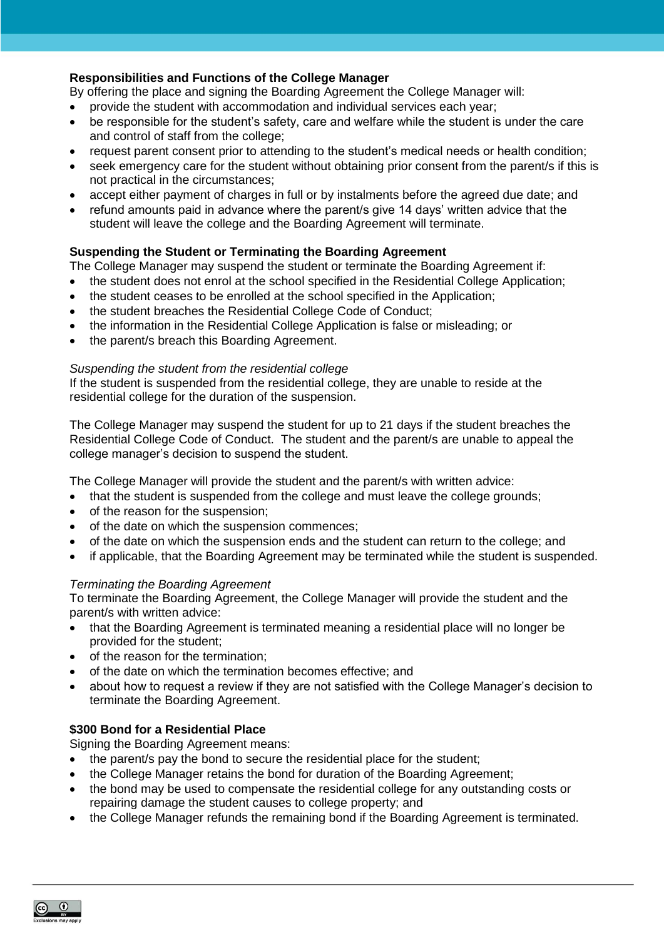#### **Responsibilities and Functions of the College Manager**

By offering the place and signing the Boarding Agreement the College Manager will:

- provide the student with accommodation and individual services each year;
- be responsible for the student's safety, care and welfare while the student is under the care and control of staff from the college;
- request parent consent prior to attending to the student's medical needs or health condition;
- seek emergency care for the student without obtaining prior consent from the parent/s if this is not practical in the circumstances;
- accept either payment of charges in full or by instalments before the agreed due date; and
- refund amounts paid in advance where the parent/s give 14 days' written advice that the student will leave the college and the Boarding Agreement will terminate.

#### **Suspending the Student or Terminating the Boarding Agreement**

The College Manager may suspend the student or terminate the Boarding Agreement if:

- the student does not enrol at the school specified in the Residential College Application;
- the student ceases to be enrolled at the school specified in the Application;
- the student breaches the Residential College Code of Conduct;
- the information in the Residential College Application is false or misleading; or
- the parent/s breach this Boarding Agreement.

#### *Suspending the student from the residential college*

If the student is suspended from the residential college, they are unable to reside at the residential college for the duration of the suspension.

The College Manager may suspend the student for up to 21 days if the student breaches the Residential College Code of Conduct. The student and the parent/s are unable to appeal the college manager's decision to suspend the student.

The College Manager will provide the student and the parent/s with written advice:

- that the student is suspended from the college and must leave the college grounds;
- of the reason for the suspension;
- of the date on which the suspension commences;
- of the date on which the suspension ends and the student can return to the college; and
- if applicable, that the Boarding Agreement may be terminated while the student is suspended.

#### *Terminating the Boarding Agreement*

To terminate the Boarding Agreement, the College Manager will provide the student and the parent/s with written advice:

- that the Boarding Agreement is terminated meaning a residential place will no longer be provided for the student;
- of the reason for the termination;
- of the date on which the termination becomes effective; and
- about how to request a review if they are not satisfied with the College Manager's decision to terminate the Boarding Agreement.

#### **\$300 Bond for a Residential Place**

Signing the Boarding Agreement means:

- the parent/s pay the bond to secure the residential place for the student;
- the College Manager retains the bond for duration of the Boarding Agreement;
- the bond may be used to compensate the residential college for any outstanding costs or repairing damage the student causes to college property; and
- the College Manager refunds the remaining bond if the Boarding Agreement is terminated.